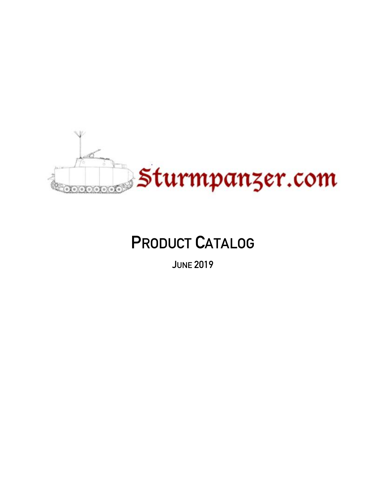

# **PRODUCT CATALOG**

**JUNE 2019**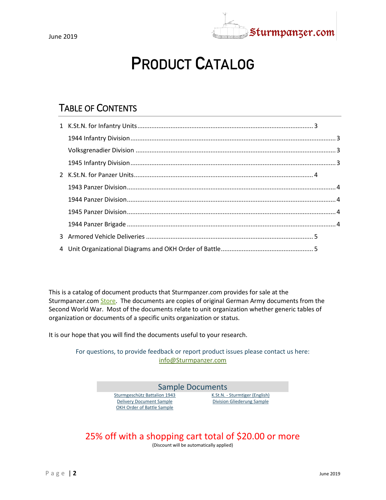

# PRODUCT CATALOG

#### TABLE OF CONTENTS

This is a catalog of document products that Sturmpanzer.com provides for sale at the Sturmpanzer.co[m Store.](http://sturmpanzer.com/store/store.aspx) The documents are copies of original German Army documents from the Second World War. Most of the documents relate to unit organization whether generic tables of organization or documents of a specific units organization or status.

It is our hope that you will find the documents useful to your research.

For questions, to provide feedback or report product issues please contact us here: [info@Sturmpanzer.com](mailto:info@Sturmpanzer.com?subject=Sturmpanzer%20Product%20Inquiry) 



#### 25% off with a shopping cart total of \$20.00 or more

(Discount will be automatically applied)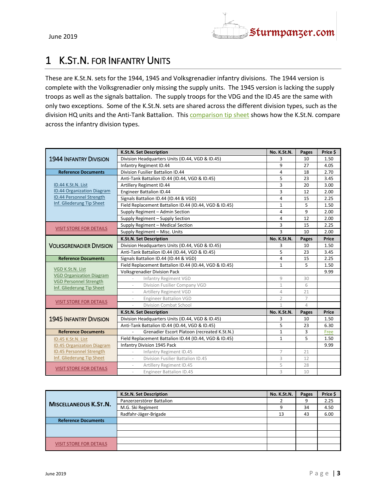

### <span id="page-2-0"></span>1 K.ST.N. FOR INFANTRY UNITS

These are K.St.N. sets for the 1944, 1945 and Volksgrenadier infantry divisions. The 1944 version is complete with the Volksgrenadier only missing the supply units. The 1945 version is lacking the supply troops as well as the signals battalion. The supply troops for the VDG and the ID.45 are the same with only two exceptions. Some of the K.St.N. sets are shared across the different division types, such as the division HQ units and the Anti-Tank Battalion. This [comparison tip sheet](http://downloads.sturmpanzer.com/Documents/KStN/ID_comparison_Tip_Sheet.pdf) shows how the K.St.N. compare across the infantry division types.

<span id="page-2-2"></span><span id="page-2-1"></span>

|                                                     | <b>K.St.N. Set Description</b>                                | No. K.St.N.    | Pages          | Price \$ |
|-----------------------------------------------------|---------------------------------------------------------------|----------------|----------------|----------|
| <b>1944 INFANTRY DIVISION</b>                       | Division Headquarters Units (ID.44, VGD & ID.45)              | 3              | 10             | 1.50     |
|                                                     | Infantry Regiment ID.44                                       | 9              | 27             | 4.05     |
| <b>Reference Documents</b>                          | Division Fusilier Battalion ID.44                             | 4              | 18             | 2.70     |
|                                                     | Anti-Tank Battalion ID.44 (ID.44, VGD & ID.45)                | 5              | 23             | 3.45     |
| ID.44 K.St.N. List                                  | Artillery Regiment ID.44                                      | 3              | 20             | 3.00     |
| <b>ID.44 Organization Diagram</b>                   | <b>Engineer Battalion ID.44</b>                               | 3              | 12             | 2.00     |
| ID.44 Personnel Strength                            | Signals Battalion ID.44 (ID.44 & VGD)                         | 4              | 15             | 2.25     |
| Inf. Gliederung Tip Sheet                           | Field Replacement Battalion ID.44 (ID.44, VGD & ID.45)        | 1              | 5              | 1.50     |
|                                                     | Supply Regiment - Admin Section                               | 4              | 9              | 2.00     |
|                                                     | Supply Regiment - Supply Section                              | 4              | 12             | 2.00     |
|                                                     | Supply Regiment - Medical Section                             | 3              | 15             | 2.25     |
| <b>VISIT STORE FOR DETAILS</b>                      | Supply Regiment - Misc. Units                                 | $\overline{3}$ | 10             | 2.00     |
|                                                     | K.St.N. Set Description                                       | No. K.St.N.    | Pages          | Price    |
| <b>VOLKSGRENADIER DIVISION</b>                      | Division Headquarters Units (ID.44, VGD & ID.45)              | 3              | 10             | 1.50     |
|                                                     | Anti-Tank Battalion ID.44 (ID.44, VGD & ID.45)                | 5              | 23             | 3.45     |
| <b>Reference Documents</b>                          | Signals Battalion ID.44 (ID.44 & VGD)                         | 4              | 15             | 2.25     |
|                                                     | Field Replacement Battalion ID.44 (ID.44, VGD & ID.45)        | $\mathbf{1}$   | 5              | 1.50     |
| VGD K.St.N. List<br><b>VGD Organization Diagram</b> | <b>Volksgrenadier Division Pack</b>                           |                |                | 9.99     |
| <b>VGD Personnel Strength</b>                       | Infantry Regiment VGD                                         | 9              | 30             |          |
| Inf. Gliederung Tip Sheet                           | Division Fusilier Company VGD<br>$\overline{\phantom{a}}$     | $\mathbf{1}$   | 6              |          |
|                                                     | Artillery Regiment VGD                                        | $\overline{4}$ | 21             |          |
| <b>VISIT STORE FOR DETAILS</b>                      | <b>Engineer Battalion VGD</b>                                 | $\overline{2}$ | $\overline{7}$ |          |
|                                                     | Division Combat School                                        | $\mathbf{1}$   | 4              |          |
|                                                     | K.St.N. Set Description                                       | No. K.St.N.    | Pages          | Price    |
| <b>1945 INFANTRY DIVISION</b>                       | Division Headquarters Units (ID.44, VGD & ID.45)              | 3              | 10             | 1.50     |
|                                                     | Anti-Tank Battalion ID.44 (ID.44, VGD & ID.45)                | 5              | 23             | 6.30     |
| <b>Reference Documents</b>                          | Grenadier Escort Platoon (recreated K.St.N.)                  | $\mathbf{1}$   | 3              | Free     |
| ID.45 K.St.N. List                                  | Field Replacement Battalion ID.44 (ID.44, VGD & ID.45)        | $\mathbf{1}$   | 5              | 1.50     |
| <b>ID.45 Organization Diagram</b>                   | Infantry Division 1945 Pack                                   |                |                | 9.99     |
| <b>ID.45 Personnel Strength</b>                     | Infantry Regiment ID.45<br>$\overline{\phantom{a}}$           | 7              | 21             |          |
| Inf. Gliederung Tip Sheet                           | Division Fusilier Battalion ID.45<br>$\overline{\phantom{a}}$ | 3              | 12             |          |
| <b>VISIT STORE FOR DETAILS</b>                      | Artillery Regiment ID.45                                      | 5              | 28             |          |
|                                                     | <b>Engineer Battalion ID.45</b>                               | 3              | 10             |          |

<span id="page-2-3"></span>

|                                | K.St.N. Set Description   | No. K.St.N. | Pages | Price \$ |
|--------------------------------|---------------------------|-------------|-------|----------|
| <b>MISCELLANEOUS K.ST.N.</b>   | Panzerzerstörer Battalion |             | 9     | 2.25     |
|                                | M.G. Ski Regiment         |             | 34    | 4.50     |
|                                | Radfahr-Jäger-Brigade     | 13          | 43    | 6.00     |
| <b>Reference Documents</b>     |                           |             |       |          |
|                                |                           |             |       |          |
|                                |                           |             |       |          |
| <b>VISIT STORE FOR DETAILS</b> |                           |             |       |          |
|                                |                           |             |       |          |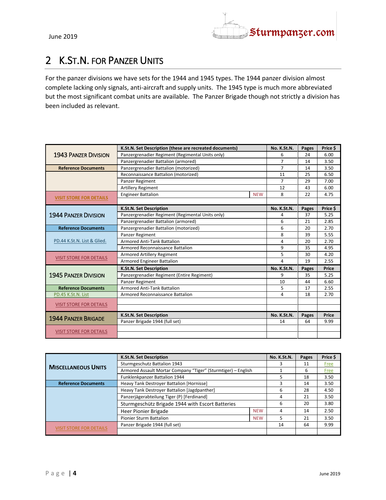

## <span id="page-3-0"></span>2 K.ST.N. FOR PANZER UNITS

For the panzer divisions we have sets for the 1944 and 1945 types. The 1944 panzer division almost complete lacking only signals, anti-aircraft and supply units. The 1945 type is much more abbreviated but the most significant combat units are available. The Panzer Brigade though not strictly a division has been included as relevant.

<span id="page-3-2"></span><span id="page-3-1"></span>

|                                | K.St.N. Set Description (these are recreated documents) | No. K.St.N.    | Pages | Price \$ |
|--------------------------------|---------------------------------------------------------|----------------|-------|----------|
| <b>1943 PANZER DIVISION</b>    | Panzergrenadier Regiment (Regimental Units only)        | 6              | 24    | 6.00     |
|                                | Panzergrenadier Battalion (armored)                     | $\overline{7}$ | 14    | 3.50     |
| <b>Reference Documents</b>     | Panzergrenadier Battalion (motorized)                   | $\overline{7}$ | 14    | 3.50     |
|                                | Reconnaissance Battalion (motorized)                    | 11             | 25    | 6.50     |
|                                | Panzer Regiment                                         | $\overline{7}$ | 29    | 7.00     |
|                                | <b>Artillery Regiment</b>                               | 12             | 43    | 6.00     |
| <b>VISIT STORE FOR DETAILS</b> | <b>Engineer Battalion</b><br><b>NEW</b>                 | 8              | 22    | 4.75     |
|                                |                                                         |                |       |          |
|                                | K.St.N. Set Description                                 | No. K.St.N.    | Pages | Price \$ |
| <b>1944 PANZER DIVISION</b>    | Panzergrenadier Regiment (Regimental Units only)        | 4              | 37    | 5.25     |
|                                | Panzergrenadier Battalion (armored)                     | 6              | 21    | 2.85     |
| <b>Reference Documents</b>     | Panzergrenadier Battalion (motorized)                   | 6              | 20    | 2.70     |
|                                | Panzer Regiment                                         | 8              | 39    | 5.55     |
| PD.44 K.St.N. List & Glied.    | <b>Armored Anti-Tank Battalion</b>                      | 4              | 20    | 2.70     |
|                                | Armored Reconnaissance Battalion                        | 9              | 35    | 4.95     |
| <b>VISIT STORE FOR DETAILS</b> | Armored Artillery Regiment                              | 5              | 30    | 4.20     |
|                                | Armored Engineer Battalion                              | 4              | 19    | 2.55     |
|                                | K.St.N. Set Description                                 | No. K.St.N.    | Pages | Price    |
| <b>1945 PANZER DIVISION</b>    | Panzergrenadier Regiment (Entire Regiment)              | 9              | 35    | 5.25     |
|                                | Panzer Regiment                                         | 10             | 44    | 6.60     |
| <b>Reference Documents</b>     | <b>Armored Anti-Tank Battalion</b>                      | 5              | 17    | 2.55     |
| PD.45 K.St.N. List             | Armored Reconnaissance Battalion                        | 4              | 18    | 2.70     |
| <b>VISIT STORE FOR DETAILS</b> |                                                         |                |       |          |
|                                |                                                         |                |       |          |
| <b>1944 PANZER BRIGADE</b>     | K.St.N. Set Description                                 | No. K.St.N.    | Pages | Price    |
|                                | Panzer Brigade 1944 (full set)                          | 14             | 64    | 9.99     |
| <b>VISIT STORE FOR DETAILS</b> |                                                         |                |       |          |
|                                |                                                         |                |       |          |

<span id="page-3-4"></span><span id="page-3-3"></span>

|                                | K.St.N. Set Description                                       |            | No. K.St.N. | Pages | Price \$    |
|--------------------------------|---------------------------------------------------------------|------------|-------------|-------|-------------|
|                                | Sturmgeschutz Battalion 1943                                  |            | 3           | 11    | <b>Free</b> |
| <b>MISCELLANEOUS UNITS</b>     | Armored Assault Mortar Company "Tiger" (Sturmtiger) - English |            |             | 6     | <b>Free</b> |
|                                | Funklenkpanzer Battalion 1944                                 |            |             | 18    | 3.50        |
| <b>Reference Documents</b>     | Heavy Tank Destroyer Battalion [Hornisse]                     |            | 3           | 14    | 3.50        |
|                                | Heavy Tank Destroyer Battalion [Jagdpanther]                  |            | 6           | 28    | 4.50        |
|                                | Panzerjägerabteilung Tiger (P) [Ferdinand]                    |            | 4           | 21    | 3.50        |
|                                | Sturmgeschütz Brigade 1944 with Escort Batteries              |            | 6           | 20    | 3.80        |
|                                | Heer Pionier Brigade                                          | <b>NEW</b> | 4           | 14    | 2.50        |
|                                | <b>Pionier Sturm Battalion</b>                                | <b>NEW</b> | 5           | 21    | 3.50        |
|                                | Panzer Brigade 1944 (full set)                                |            | 14          | 64    | 9.99        |
| <b>VISIT STORE FOR DETAILS</b> |                                                               |            |             |       |             |